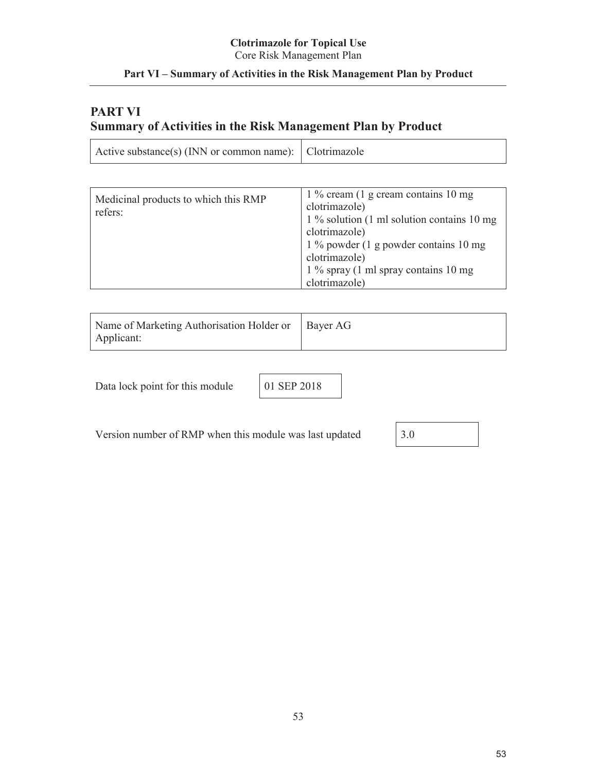#### **Clotrimazole for Topical Use** Core Risk Management Plan

## **Part VI – Summary of Activities in the Risk Management Plan by Product**

# **PART VI Summary of Activities in the Risk Management Plan by Product**

| Active substance(s) (INN or common name): Clotrimazole |
|--------------------------------------------------------|
|--------------------------------------------------------|

| Medicinal products to which this RMP<br>refers: | $1\%$ cream (1 g cream contains 10 mg)<br>clotrimazole)<br>$1\%$ solution (1 ml solution contains 10 mg)<br>clotrimazole)<br>$1\%$ powder (1 g powder contains 10 mg)<br>clotrimazole)<br>$1\%$ spray (1 ml spray contains 10 mg<br>clotrimazole) |
|-------------------------------------------------|---------------------------------------------------------------------------------------------------------------------------------------------------------------------------------------------------------------------------------------------------|
|-------------------------------------------------|---------------------------------------------------------------------------------------------------------------------------------------------------------------------------------------------------------------------------------------------------|

| Name of Marketing Authorisation Holder or   Bayer AG |  |
|------------------------------------------------------|--|
| Applicant:                                           |  |

Data lock point for this module 01 SEP 2018

Version number of RMP when this module was last updated  $\begin{vmatrix} 3.0 \\ 3.0 \end{vmatrix}$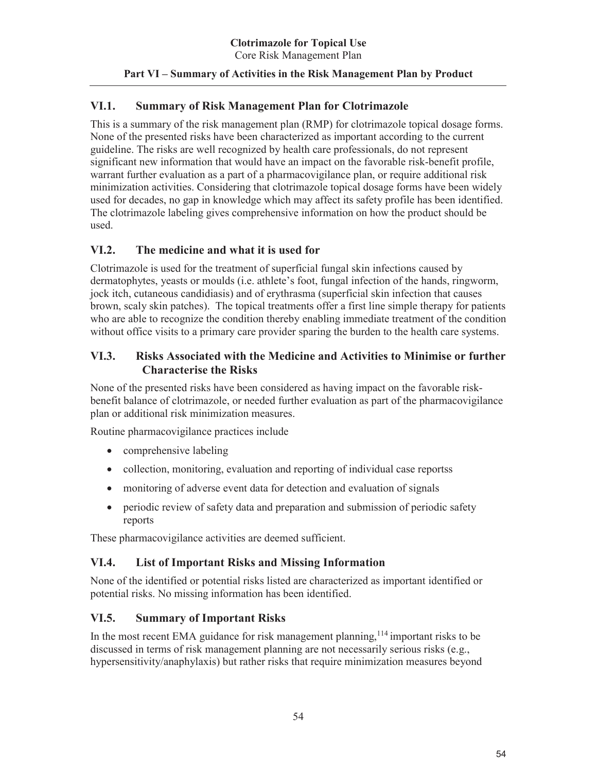#### **Part VI – Summary of Activities in the Risk Management Plan by Product**

#### **VI.1. Summary of Risk Management Plan for Clotrimazole**

This is a summary of the risk management plan (RMP) for clotrimazole topical dosage forms. None of the presented risks have been characterized as important according to the current guideline. The risks are well recognized by health care professionals, do not represent significant new information that would have an impact on the favorable risk-benefit profile, warrant further evaluation as a part of a pharmacovigilance plan, or require additional risk minimization activities. Considering that clotrimazole topical dosage forms have been widely used for decades, no gap in knowledge which may affect its safety profile has been identified. The clotrimazole labeling gives comprehensive information on how the product should be used.

### **VI.2. The medicine and what it is used for**

Clotrimazole is used for the treatment of superficial fungal skin infections caused by dermatophytes, yeasts or moulds (i.e. athlete's foot, fungal infection of the hands, ringworm, jock itch, cutaneous candidiasis) and of erythrasma (superficial skin infection that causes brown, scaly skin patches). The topical treatments offer a first line simple therapy for patients who are able to recognize the condition thereby enabling immediate treatment of the condition without office visits to a primary care provider sparing the burden to the health care systems.

### **VI.3. Risks Associated with the Medicine and Activities to Minimise or further Characterise the Risks**

None of the presented risks have been considered as having impact on the favorable riskbenefit balance of clotrimazole, or needed further evaluation as part of the pharmacovigilance plan or additional risk minimization measures.

Routine pharmacovigilance practices include

- $\bullet$  comprehensive labeling
- collection, monitoring, evaluation and reporting of individual case reportss
- monitoring of adverse event data for detection and evaluation of signals
- periodic review of safety data and preparation and submission of periodic safety reports

These pharmacovigilance activities are deemed sufficient.

#### **VI.4. List of Important Risks and Missing Information**

None of the identified or potential risks listed are characterized as important identified or potential risks. No missing information has been identified.

#### **VI.5. Summary of Important Risks**

In the most recent EMA guidance for risk management planning, <sup>114</sup> important risks to be discussed in terms of risk management planning are not necessarily serious risks (e.g., hypersensitivity/anaphylaxis) but rather risks that require minimization measures beyond